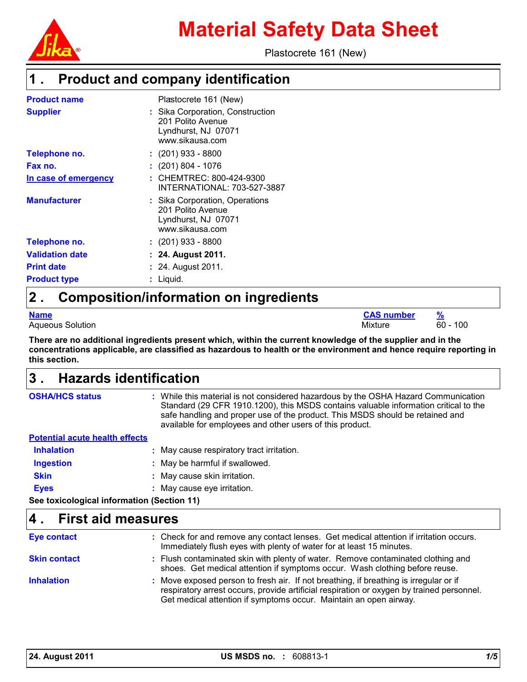

Plastocrete 161 (New)

## **Product and company identification 1 .**

| <b>Product name</b>    | Plastocrete 161 (New)                                                                           |
|------------------------|-------------------------------------------------------------------------------------------------|
| <b>Supplier</b>        | : Sika Corporation, Construction<br>201 Polito Avenue<br>Lyndhurst, NJ 07071<br>www.sikausa.com |
| Telephone no.          | : (201) 933 - 8800                                                                              |
| Fax no.                | $: (201) 804 - 1076$                                                                            |
| In case of emergency   | : CHEMTREC: 800-424-9300<br>INTERNATIONAL: 703-527-3887                                         |
| <b>Manufacturer</b>    | : Sika Corporation, Operations<br>201 Polito Avenue<br>Lyndhurst, NJ 07071<br>www.sikausa.com   |
| Telephone no.          | $: (201)$ 933 - 8800                                                                            |
| <b>Validation date</b> | : 24. August 2011.                                                                              |
| <b>Print date</b>      | : 24. August 2011.                                                                              |
| <b>Product type</b>    | Liquid.                                                                                         |

## **Composition/information on ingredients 2 .**

Aqueous Solution 60 - 100

**Name CAS number %**

**There are no additional ingredients present which, within the current knowledge of the supplier and in the concentrations applicable, are classified as hazardous to health or the environment and hence require reporting in this section.**

### **Hazards identification 3 .**

| <b>OSHA/HCS status</b>                     | : While this material is not considered hazardous by the OSHA Hazard Communication<br>Standard (29 CFR 1910.1200), this MSDS contains valuable information critical to the<br>safe handling and proper use of the product. This MSDS should be retained and<br>available for employees and other users of this product. |
|--------------------------------------------|-------------------------------------------------------------------------------------------------------------------------------------------------------------------------------------------------------------------------------------------------------------------------------------------------------------------------|
| <b>Potential acute health effects</b>      |                                                                                                                                                                                                                                                                                                                         |
| <b>Inhalation</b>                          | : May cause respiratory tract irritation.                                                                                                                                                                                                                                                                               |
| <b>Ingestion</b>                           | : May be harmful if swallowed.                                                                                                                                                                                                                                                                                          |
| <b>Skin</b>                                | : May cause skin irritation.                                                                                                                                                                                                                                                                                            |
| <b>Eyes</b>                                | May cause eye irritation.                                                                                                                                                                                                                                                                                               |
| See toxicological information (Section 11) |                                                                                                                                                                                                                                                                                                                         |

#### **First aid measures 4 .**

| <b>Eye contact</b>  | : Check for and remove any contact lenses. Get medical attention if irritation occurs.<br>Immediately flush eyes with plenty of water for at least 15 minutes.                                                                                          |
|---------------------|---------------------------------------------------------------------------------------------------------------------------------------------------------------------------------------------------------------------------------------------------------|
| <b>Skin contact</b> | : Flush contaminated skin with plenty of water. Remove contaminated clothing and<br>shoes. Get medical attention if symptoms occur. Wash clothing before reuse.                                                                                         |
| <b>Inhalation</b>   | : Move exposed person to fresh air. If not breathing, if breathing is irregular or if<br>respiratory arrest occurs, provide artificial respiration or oxygen by trained personnel.<br>Get medical attention if symptoms occur. Maintain an open airway. |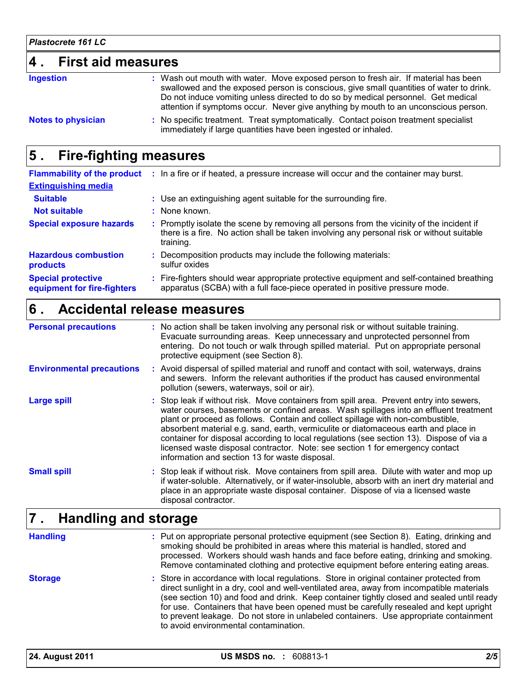#### **4 . First aid measures** Wash out mouth with water. Move exposed person to fresh air. If material has been **:** swallowed and the exposed person is conscious, give small quantities of water to drink. Do not induce vomiting unless directed to do so by medical personnel. Get medical **Ingestion**

**Notes to physician**

attention if symptoms occur. Never give anything by mouth to an unconscious person. No specific treatment. Treat symptomatically. Contact poison treatment specialist **:** immediately if large quantities have been ingested or inhaled.

### **Fire-fighting measures 5 .**

|                                                          | Flammability of the product : In a fire or if heated, a pressure increase will occur and the container may burst.                                                                                   |
|----------------------------------------------------------|-----------------------------------------------------------------------------------------------------------------------------------------------------------------------------------------------------|
| <b>Extinguishing media</b>                               |                                                                                                                                                                                                     |
| <b>Suitable</b>                                          | : Use an extinguishing agent suitable for the surrounding fire.                                                                                                                                     |
| <b>Not suitable</b>                                      | : None known.                                                                                                                                                                                       |
| <b>Special exposure hazards</b>                          | : Promptly isolate the scene by removing all persons from the vicinity of the incident if<br>there is a fire. No action shall be taken involving any personal risk or without suitable<br>training. |
| <b>Hazardous combustion</b><br>products                  | : Decomposition products may include the following materials:<br>sulfur oxides                                                                                                                      |
| <b>Special protective</b><br>equipment for fire-fighters | : Fire-fighters should wear appropriate protective equipment and self-contained breathing<br>apparatus (SCBA) with a full face-piece operated in positive pressure mode.                            |

### **Accidental release measures 6 .**

| <b>Personal precautions</b>      | : No action shall be taken involving any personal risk or without suitable training.<br>Evacuate surrounding areas. Keep unnecessary and unprotected personnel from<br>entering. Do not touch or walk through spilled material. Put on appropriate personal<br>protective equipment (see Section 8).                                                                                                                                                                                                                                                                                       |
|----------------------------------|--------------------------------------------------------------------------------------------------------------------------------------------------------------------------------------------------------------------------------------------------------------------------------------------------------------------------------------------------------------------------------------------------------------------------------------------------------------------------------------------------------------------------------------------------------------------------------------------|
| <b>Environmental precautions</b> | : Avoid dispersal of spilled material and runoff and contact with soil, waterways, drains<br>and sewers. Inform the relevant authorities if the product has caused environmental<br>pollution (sewers, waterways, soil or air).                                                                                                                                                                                                                                                                                                                                                            |
| <b>Large spill</b>               | : Stop leak if without risk. Move containers from spill area. Prevent entry into sewers,<br>water courses, basements or confined areas. Wash spillages into an effluent treatment<br>plant or proceed as follows. Contain and collect spillage with non-combustible,<br>absorbent material e.g. sand, earth, vermiculite or diatomaceous earth and place in<br>container for disposal according to local regulations (see section 13). Dispose of via a<br>licensed waste disposal contractor. Note: see section 1 for emergency contact<br>information and section 13 for waste disposal. |
| <b>Small spill</b>               | : Stop leak if without risk. Move containers from spill area. Dilute with water and mop up<br>if water-soluble. Alternatively, or if water-insoluble, absorb with an inert dry material and<br>place in an appropriate waste disposal container. Dispose of via a licensed waste<br>disposal contractor.                                                                                                                                                                                                                                                                                   |
| ومستحلف المتمد ومتمالك ومتحللا   |                                                                                                                                                                                                                                                                                                                                                                                                                                                                                                                                                                                            |

### **Handling and storage 7 .**

**Handling**

Put on appropriate personal protective equipment (see Section 8). Eating, drinking and **:** smoking should be prohibited in areas where this material is handled, stored and processed. Workers should wash hands and face before eating, drinking and smoking. Remove contaminated clothing and protective equipment before entering eating areas.

Store in accordance with local regulations. Store in original container protected from **:** direct sunlight in a dry, cool and well-ventilated area, away from incompatible materials (see section 10) and food and drink. Keep container tightly closed and sealed until ready for use. Containers that have been opened must be carefully resealed and kept upright to prevent leakage. Do not store in unlabeled containers. Use appropriate containment to avoid environmental contamination. **Storage**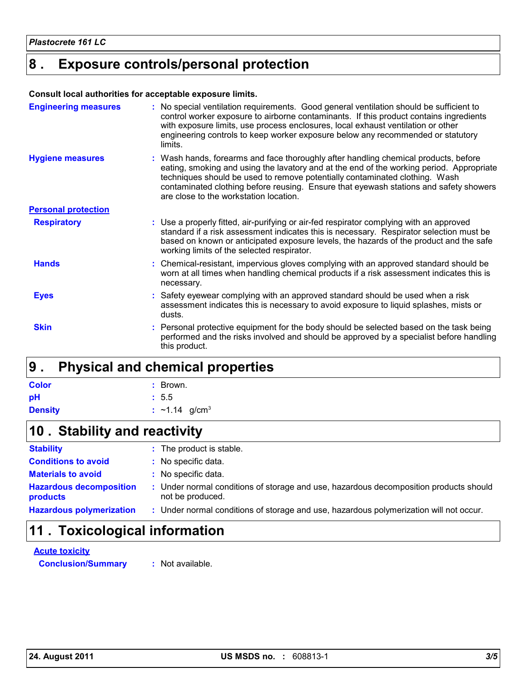# **Exposure controls/personal protection 8 .**

#### **Consult local authorities for acceptable exposure limits.**

| <b>Engineering measures</b> | : No special ventilation requirements. Good general ventilation should be sufficient to<br>control worker exposure to airborne contaminants. If this product contains ingredients<br>with exposure limits, use process enclosures, local exhaust ventilation or other<br>engineering controls to keep worker exposure below any recommended or statutory<br>limits.                               |
|-----------------------------|---------------------------------------------------------------------------------------------------------------------------------------------------------------------------------------------------------------------------------------------------------------------------------------------------------------------------------------------------------------------------------------------------|
| <b>Hygiene measures</b>     | : Wash hands, forearms and face thoroughly after handling chemical products, before<br>eating, smoking and using the lavatory and at the end of the working period. Appropriate<br>techniques should be used to remove potentially contaminated clothing. Wash<br>contaminated clothing before reusing. Ensure that eyewash stations and safety showers<br>are close to the workstation location. |
| <b>Personal protection</b>  |                                                                                                                                                                                                                                                                                                                                                                                                   |
| <b>Respiratory</b>          | : Use a properly fitted, air-purifying or air-fed respirator complying with an approved<br>standard if a risk assessment indicates this is necessary. Respirator selection must be<br>based on known or anticipated exposure levels, the hazards of the product and the safe<br>working limits of the selected respirator.                                                                        |
| <b>Hands</b>                | : Chemical-resistant, impervious gloves complying with an approved standard should be<br>worn at all times when handling chemical products if a risk assessment indicates this is<br>necessary.                                                                                                                                                                                                   |
| <b>Eyes</b>                 | Safety eyewear complying with an approved standard should be used when a risk<br>assessment indicates this is necessary to avoid exposure to liquid splashes, mists or<br>dusts.                                                                                                                                                                                                                  |
| <b>Skin</b>                 | Personal protective equipment for the body should be selected based on the task being<br>performed and the risks involved and should be approved by a specialist before handling<br>this product.                                                                                                                                                                                                 |

### **Physical and chemical properties 9 .**

| <b>Color</b>   | $\therefore$ Brown.             |
|----------------|---------------------------------|
| рH             | : 5.5                           |
| <b>Density</b> | : $\sim$ 1.14 g/cm <sup>3</sup> |

# **Stability and reactivity 10 .**

| <b>Stability</b>                           | : The product is stable.                                                                                  |
|--------------------------------------------|-----------------------------------------------------------------------------------------------------------|
| <b>Conditions to avoid</b>                 | : No specific data.                                                                                       |
| <b>Materials to avoid</b>                  | : No specific data.                                                                                       |
| <b>Hazardous decomposition</b><br>products | : Under normal conditions of storage and use, hazardous decomposition products should<br>not be produced. |
| <b>Hazardous polymerization</b>            | : Under normal conditions of storage and use, hazardous polymerization will not occur.                    |

# **11 . Toxicological information**

**Acute toxicity Conclusion/Summary :** Not available.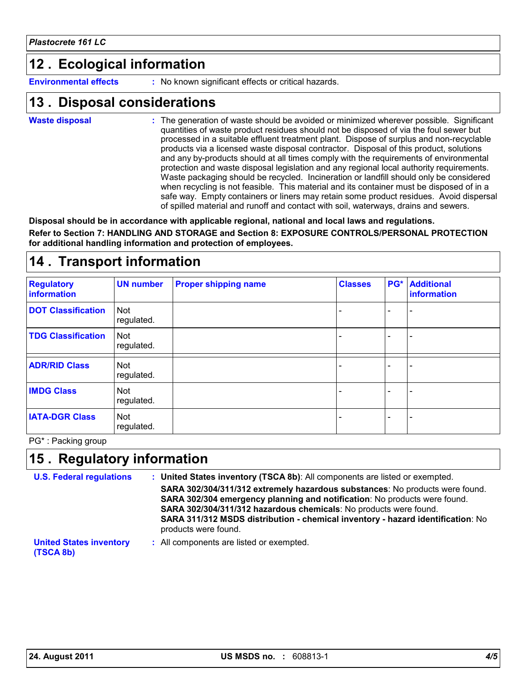# **Ecological information 12 .**

**Environmental effects :** No known significant effects or critical hazards.

### **Disposal considerations 13 .**

**Waste disposal**

The generation of waste should be avoided or minimized wherever possible. Significant **:** quantities of waste product residues should not be disposed of via the foul sewer but processed in a suitable effluent treatment plant. Dispose of surplus and non-recyclable products via a licensed waste disposal contractor. Disposal of this product, solutions and any by-products should at all times comply with the requirements of environmental protection and waste disposal legislation and any regional local authority requirements. Waste packaging should be recycled. Incineration or landfill should only be considered when recycling is not feasible. This material and its container must be disposed of in a safe way. Empty containers or liners may retain some product residues. Avoid dispersal of spilled material and runoff and contact with soil, waterways, drains and sewers.

**Disposal should be in accordance with applicable regional, national and local laws and regulations. Refer to Section 7: HANDLING AND STORAGE and Section 8: EXPOSURE CONTROLS/PERSONAL PROTECTION for additional handling information and protection of employees.**

# **14 . Transport information**

| <b>Regulatory</b><br>information | <b>UN number</b>         | <b>Proper shipping name</b> | <b>Classes</b>           | <b>PG*</b> Additional<br>information |
|----------------------------------|--------------------------|-----------------------------|--------------------------|--------------------------------------|
| <b>DOT Classification</b>        | <b>Not</b><br>regulated. |                             |                          |                                      |
| <b>TDG Classification</b>        | Not<br>regulated.        |                             | $\overline{\phantom{0}}$ | $\overline{\phantom{0}}$             |
| <b>ADR/RID Class</b>             | <b>Not</b><br>regulated. |                             | ÷                        |                                      |
| <b>IMDG Class</b>                | Not<br>regulated.        |                             | $\overline{\phantom{0}}$ |                                      |
| <b>IATA-DGR Class</b>            | Not<br>regulated.        |                             | $\overline{\phantom{0}}$ | $\overline{\phantom{0}}$             |

PG\* : Packing group

# **Regulatory information 15 .**

| <b>U.S. Federal regulations</b>             | : United States inventory (TSCA 8b): All components are listed or exempted.                                                                                                  |
|---------------------------------------------|------------------------------------------------------------------------------------------------------------------------------------------------------------------------------|
|                                             | SARA 302/304/311/312 extremely hazardous substances: No products were found.<br>SARA 302/304 emergency planning and notification: No products were found.                    |
|                                             | SARA 302/304/311/312 hazardous chemicals: No products were found.<br>SARA 311/312 MSDS distribution - chemical inventory - hazard identification: No<br>products were found. |
| <b>United States inventory</b><br>(TSCA 8b) | : All components are listed or exempted.                                                                                                                                     |